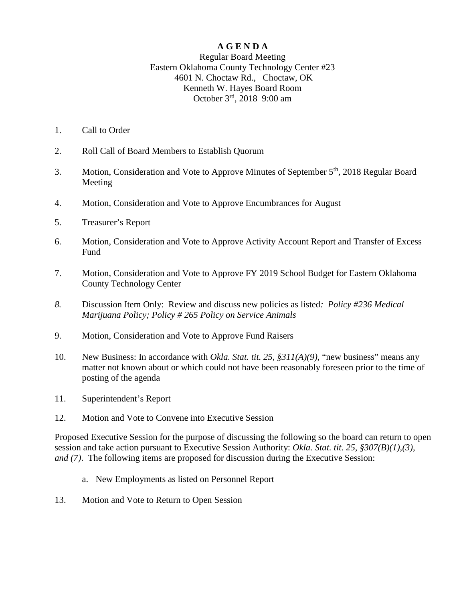### **A G E N D A**

#### Regular Board Meeting Eastern Oklahoma County Technology Center #23 4601 N. Choctaw Rd., Choctaw, OK Kenneth W. Hayes Board Room October 3rd, 2018 9:00 am

- 1. Call to Order
- 2. Roll Call of Board Members to Establish Quorum
- 3. Motion, Consideration and Vote to Approve Minutes of September 5<sup>th</sup>, 2018 Regular Board Meeting
- 4. Motion, Consideration and Vote to Approve Encumbrances for August
- 5. Treasurer's Report
- 6. Motion, Consideration and Vote to Approve Activity Account Report and Transfer of Excess **Fund**
- 7. Motion, Consideration and Vote to Approve FY 2019 School Budget for Eastern Oklahoma County Technology Center
- *8.* Discussion Item Only: Review and discuss new policies as listed*: Policy #236 Medical Marijuana Policy; Policy # 265 Policy on Service Animals*
- 9. Motion, Consideration and Vote to Approve Fund Raisers
- 10. New Business: In accordance with *Okla. Stat. tit. 25, §311(A)(9)*, "new business" means any matter not known about or which could not have been reasonably foreseen prior to the time of posting of the agenda
- 11. Superintendent's Report
- 12. Motion and Vote to Convene into Executive Session

Proposed Executive Session for the purpose of discussing the following so the board can return to open session and take action pursuant to Executive Session Authority: *Okla. Stat. tit. 25, §307(B)(1),(3), and (7)*. The following items are proposed for discussion during the Executive Session:

- a. New Employments as listed on Personnel Report
- 13. Motion and Vote to Return to Open Session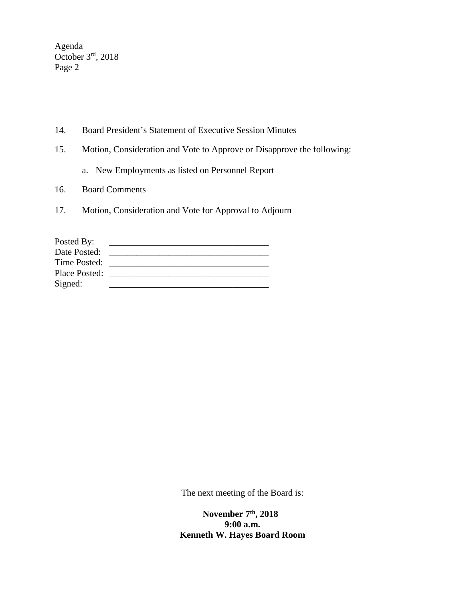Agenda October 3rd, 2018 Page 2

- 14. Board President's Statement of Executive Session Minutes
- 15. Motion, Consideration and Vote to Approve or Disapprove the following:
	- a. New Employments as listed on Personnel Report
- 16. Board Comments
- 17. Motion, Consideration and Vote for Approval to Adjourn

| Posted By:    |  |
|---------------|--|
| Date Posted:  |  |
| Time Posted:  |  |
| Place Posted: |  |
| Signed:       |  |

The next meeting of the Board is:

 **November 7th, 2018 9:00 a.m. Kenneth W. Hayes Board Room**